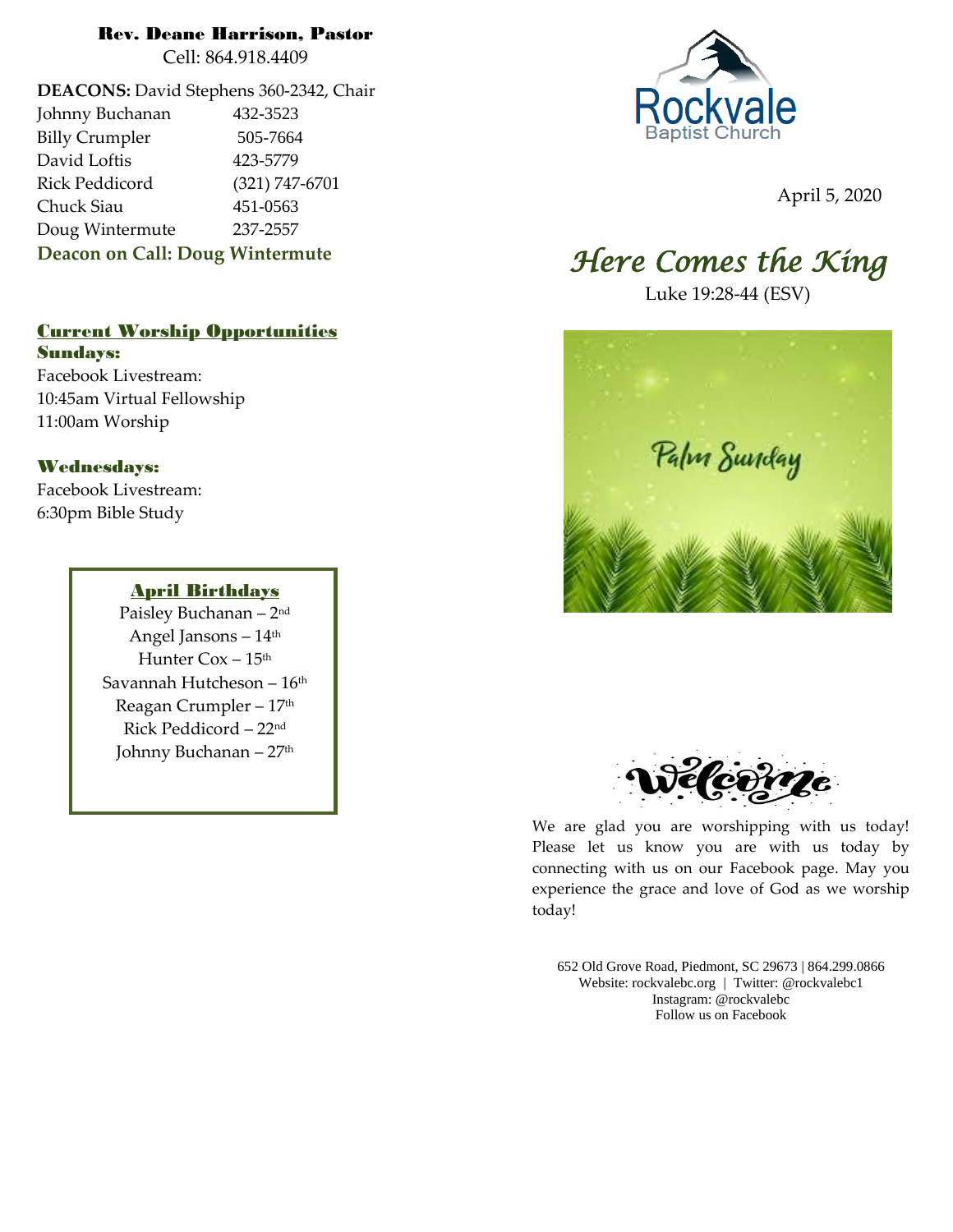### Rev. Deane Harrison, Pastor

Cell: 864.918.4409

**DEACONS:** David Stephens 360-2342, Chair Johnny Buchanan 432-3523 Billy Crumpler 505-7664 David Loftis 423-5779 Rick Peddicord (321) 747-6701 Chuck Siau 451-0563 Doug Wintermute 237-2557 **Deacon on Call: Doug Wintermute**

### Current Worship Opportunities

Sundays: Facebook Livestream: 10:45am Virtual Fellowship 11:00am Worship

### Wednesdays:

Facebook Livestream: 6:30pm Bible Study

#### April Birthdays

Paisley Buchanan – 2 nd Angel Jansons – 14th Hunter Cox - 15<sup>th</sup> Savannah Hutcheson – 16 th Reagan Crumpler - 17<sup>th</sup> Rick Peddicord – 22nd Johnny Buchanan – 27th



April 5, 2020

# *Here Comes the King*

Luke 19:28-44 (ESV)





We are glad you are worshipping with us today! Please let us know you are with us today by connecting with us on our Facebook page. May you experience the grace and love of God as we worship today!

652 Old Grove Road, Piedmont, SC 29673 | 864.299.0866 Website: rockvalebc.org *|* Twitter: @rockvalebc1 Instagram: @rockvalebc Follow us on Facebook